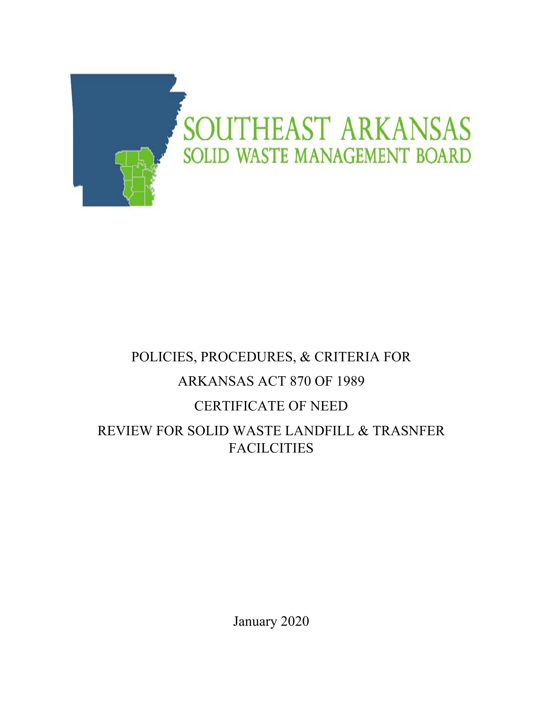

# POLICIES, PROCEDURES, & CRITERIA FOR ARKANSAS ACT 870 OF 1989 CERTIFICATE OF NEED REVIEW FOR SOLID WASTE LANDFILL & TRASNFER FACILCITIES

January 2020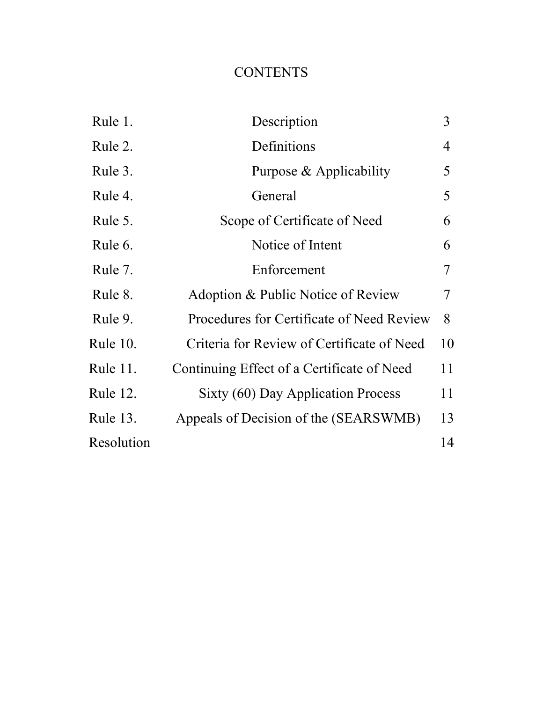# **CONTENTS**

| Rule 1.         | Description                                | 3  |
|-----------------|--------------------------------------------|----|
| Rule 2.         | Definitions                                | 4  |
| Rule 3.         | Purpose & Applicability                    | 5  |
| Rule 4.         | General                                    | 5  |
| Rule 5.         | Scope of Certificate of Need               | 6  |
| Rule 6.         | Notice of Intent                           | 6  |
| Rule 7.         | Enforcement                                | 7  |
| Rule 8.         | Adoption & Public Notice of Review         | 7  |
| Rule 9.         | Procedures for Certificate of Need Review  | 8  |
| <b>Rule 10.</b> | Criteria for Review of Certificate of Need | 10 |
| Rule 11.        | Continuing Effect of a Certificate of Need | 11 |
| <b>Rule 12.</b> | Sixty (60) Day Application Process         | 11 |
| Rule 13.        | Appeals of Decision of the (SEARSWMB)      | 13 |
| Resolution      |                                            | 14 |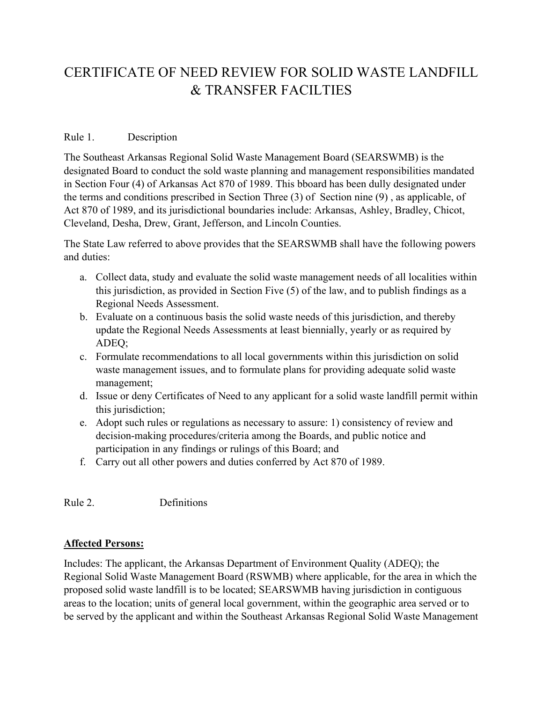# CERTIFICATE OF NEED REVIEW FOR SOLID WASTE LANDFILL & TRANSFER FACILTIES

### Rule 1. Description

The Southeast Arkansas Regional Solid Waste Management Board (SEARSWMB) is the designated Board to conduct the sold waste planning and management responsibilities mandated in Section Four (4) of Arkansas Act 870 of 1989. This bboard has been dully designated under the terms and conditions prescribed in Section Three (3) of Section nine (9) , as applicable, of Act 870 of 1989, and its jurisdictional boundaries include: Arkansas, Ashley, Bradley, Chicot, Cleveland, Desha, Drew, Grant, Jefferson, and Lincoln Counties.

The State Law referred to above provides that the SEARSWMB shall have the following powers and duties:

- a. Collect data, study and evaluate the solid waste management needs of all localities within this jurisdiction, as provided in Section Five (5) of the law, and to publish findings as a Regional Needs Assessment.
- b. Evaluate on a continuous basis the solid waste needs of this jurisdiction, and thereby update the Regional Needs Assessments at least biennially, yearly or as required by ADEQ;
- c. Formulate recommendations to all local governments within this jurisdiction on solid waste management issues, and to formulate plans for providing adequate solid waste management;
- d. Issue or deny Certificates of Need to any applicant for a solid waste landfill permit within this jurisdiction;
- e. Adopt such rules or regulations as necessary to assure: 1) consistency of review and decision-making procedures/criteria among the Boards, and public notice and participation in any findings or rulings of this Board; and
- f. Carry out all other powers and duties conferred by Act 870 of 1989.

Rule 2. Definitions

#### **Affected Persons:**

Includes: The applicant, the Arkansas Department of Environment Quality (ADEQ); the Regional Solid Waste Management Board (RSWMB) where applicable, for the area in which the proposed solid waste landfill is to be located; SEARSWMB having jurisdiction in contiguous areas to the location; units of general local government, within the geographic area served or to be served by the applicant and within the Southeast Arkansas Regional Solid Waste Management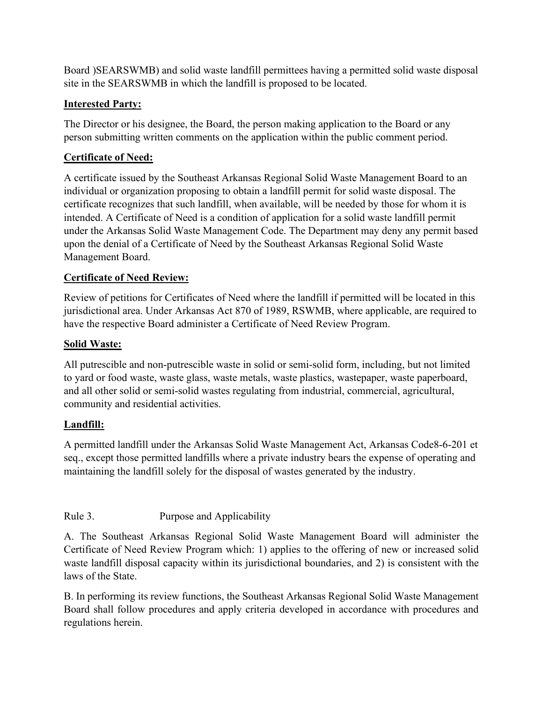Board )SEARSWMB) and solid waste landfill permittees having a permitted solid waste disposal site in the SEARSWMB in which the landfill is proposed to be located.

# **Interested Party:**

The Director or his designee, the Board, the person making application to the Board or any person submitting written comments on the application within the public comment period.

# **Certificate of Need:**

A certificate issued by the Southeast Arkansas Regional Solid Waste Management Board to an individual or organization proposing to obtain a landfill permit for solid waste disposal. The certificate recognizes that such landfill, when available, will be needed by those for whom it is intended. A Certificate of Need is a condition of application for a solid waste landfill permit under the Arkansas Solid Waste Management Code. The Department may deny any permit based upon the denial of a Certificate of Need by the Southeast Arkansas Regional Solid Waste Management Board.

# **Certificate of Need Review:**

Review of petitions for Certificates of Need where the landfill if permitted will be located in this jurisdictional area. Under Arkansas Act 870 of 1989, RSWMB, where applicable, are required to have the respective Board administer a Certificate of Need Review Program.

#### **Solid Waste:**

All putrescible and non-putrescible waste in solid or semi-solid form, including, but not limited to yard or food waste, waste glass, waste metals, waste plastics, wastepaper, waste paperboard, and all other solid or semi-solid wastes regulating from industrial, commercial, agricultural, community and residential activities.

#### **Landfill:**

A permitted landfill under the Arkansas Solid Waste Management Act, Arkansas Code8-6-201 et seq., except those permitted landfills where a private industry bears the expense of operating and maintaining the landfill solely for the disposal of wastes generated by the industry.

#### Rule 3. Purpose and Applicability

A. The Southeast Arkansas Regional Solid Waste Management Board will administer the Certificate of Need Review Program which: 1) applies to the offering of new or increased solid waste landfill disposal capacity within its jurisdictional boundaries, and 2) is consistent with the laws of the State.

B. In performing its review functions, the Southeast Arkansas Regional Solid Waste Management Board shall follow procedures and apply criteria developed in accordance with procedures and regulations herein.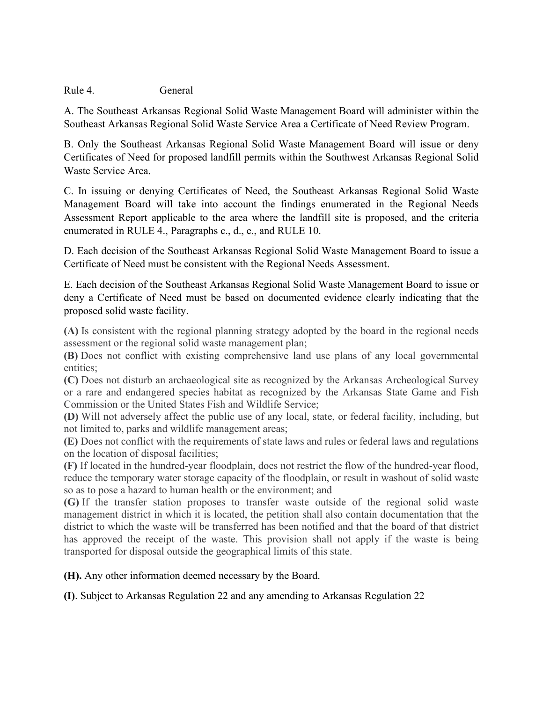Rule 4. General

A. The Southeast Arkansas Regional Solid Waste Management Board will administer within the Southeast Arkansas Regional Solid Waste Service Area a Certificate of Need Review Program.

B. Only the Southeast Arkansas Regional Solid Waste Management Board will issue or deny Certificates of Need for proposed landfill permits within the Southwest Arkansas Regional Solid Waste Service Area.

C. In issuing or denying Certificates of Need, the Southeast Arkansas Regional Solid Waste Management Board will take into account the findings enumerated in the Regional Needs Assessment Report applicable to the area where the landfill site is proposed, and the criteria enumerated in RULE 4., Paragraphs c., d., e., and RULE 10.

D. Each decision of the Southeast Arkansas Regional Solid Waste Management Board to issue a Certificate of Need must be consistent with the Regional Needs Assessment.

E. Each decision of the Southeast Arkansas Regional Solid Waste Management Board to issue or deny a Certificate of Need must be based on documented evidence clearly indicating that the proposed solid waste facility.

**(A)** Is consistent with the regional planning strategy adopted by the board in the regional needs assessment or the regional solid waste management plan;

**(B)** Does not conflict with existing comprehensive land use plans of any local governmental entities;

**(C)** Does not disturb an archaeological site as recognized by the Arkansas Archeological Survey or a rare and endangered species habitat as recognized by the Arkansas State Game and Fish Commission or the United States Fish and Wildlife Service;

**(D)** Will not adversely affect the public use of any local, state, or federal facility, including, but not limited to, parks and wildlife management areas;

**(E)** Does not conflict with the requirements of state laws and rules or federal laws and regulations on the location of disposal facilities;

**(F)** If located in the hundred-year floodplain, does not restrict the flow of the hundred-year flood, reduce the temporary water storage capacity of the floodplain, or result in washout of solid waste so as to pose a hazard to human health or the environment; and

**(G)** If the transfer station proposes to transfer waste outside of the regional solid waste management district in which it is located, the petition shall also contain documentation that the district to which the waste will be transferred has been notified and that the board of that district has approved the receipt of the waste. This provision shall not apply if the waste is being transported for disposal outside the geographical limits of this state.

**(H).** Any other information deemed necessary by the Board.

**(I)**. Subject to Arkansas Regulation 22 and any amending to Arkansas Regulation 22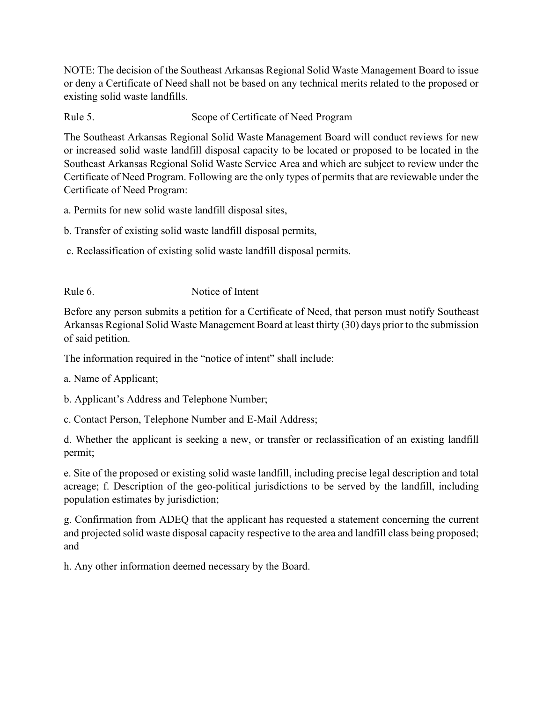NOTE: The decision of the Southeast Arkansas Regional Solid Waste Management Board to issue or deny a Certificate of Need shall not be based on any technical merits related to the proposed or existing solid waste landfills.

Rule 5. Scope of Certificate of Need Program

The Southeast Arkansas Regional Solid Waste Management Board will conduct reviews for new or increased solid waste landfill disposal capacity to be located or proposed to be located in the Southeast Arkansas Regional Solid Waste Service Area and which are subject to review under the Certificate of Need Program. Following are the only types of permits that are reviewable under the Certificate of Need Program:

- a. Permits for new solid waste landfill disposal sites,
- b. Transfer of existing solid waste landfill disposal permits,
- c. Reclassification of existing solid waste landfill disposal permits.

Rule 6. Notice of Intent

Before any person submits a petition for a Certificate of Need, that person must notify Southeast Arkansas Regional Solid Waste Management Board at least thirty (30) days prior to the submission of said petition.

The information required in the "notice of intent" shall include:

a. Name of Applicant;

b. Applicant's Address and Telephone Number;

c. Contact Person, Telephone Number and E-Mail Address;

d. Whether the applicant is seeking a new, or transfer or reclassification of an existing landfill permit;

e. Site of the proposed or existing solid waste landfill, including precise legal description and total acreage; f. Description of the geo-political jurisdictions to be served by the landfill, including population estimates by jurisdiction;

g. Confirmation from ADEQ that the applicant has requested a statement concerning the current and projected solid waste disposal capacity respective to the area and landfill class being proposed; and

h. Any other information deemed necessary by the Board.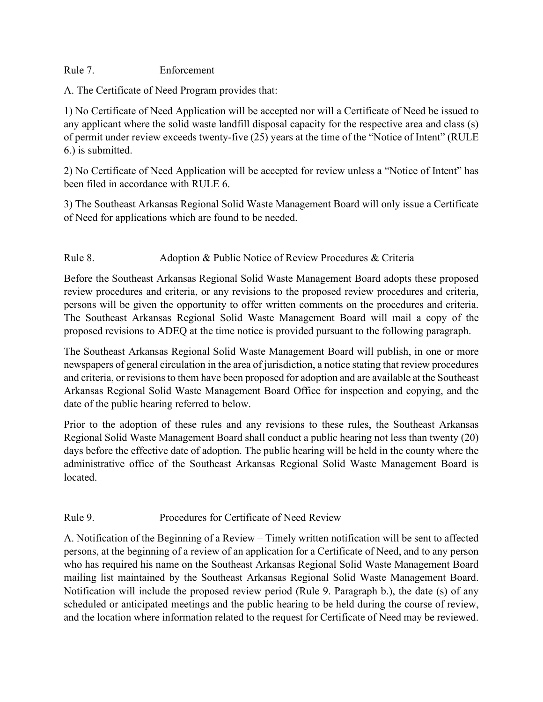Rule 7. Enforcement

A. The Certificate of Need Program provides that:

1) No Certificate of Need Application will be accepted nor will a Certificate of Need be issued to any applicant where the solid waste landfill disposal capacity for the respective area and class (s) of permit under review exceeds twenty-five (25) years at the time of the "Notice of Intent" (RULE 6.) is submitted.

2) No Certificate of Need Application will be accepted for review unless a "Notice of Intent" has been filed in accordance with RULE 6.

3) The Southeast Arkansas Regional Solid Waste Management Board will only issue a Certificate of Need for applications which are found to be needed.

# Rule 8. Adoption & Public Notice of Review Procedures & Criteria

Before the Southeast Arkansas Regional Solid Waste Management Board adopts these proposed review procedures and criteria, or any revisions to the proposed review procedures and criteria, persons will be given the opportunity to offer written comments on the procedures and criteria. The Southeast Arkansas Regional Solid Waste Management Board will mail a copy of the proposed revisions to ADEQ at the time notice is provided pursuant to the following paragraph.

The Southeast Arkansas Regional Solid Waste Management Board will publish, in one or more newspapers of general circulation in the area of jurisdiction, a notice stating that review procedures and criteria, or revisions to them have been proposed for adoption and are available at the Southeast Arkansas Regional Solid Waste Management Board Office for inspection and copying, and the date of the public hearing referred to below.

Prior to the adoption of these rules and any revisions to these rules, the Southeast Arkansas Regional Solid Waste Management Board shall conduct a public hearing not less than twenty (20) days before the effective date of adoption. The public hearing will be held in the county where the administrative office of the Southeast Arkansas Regional Solid Waste Management Board is located.

#### Rule 9. Procedures for Certificate of Need Review

A. Notification of the Beginning of a Review – Timely written notification will be sent to affected persons, at the beginning of a review of an application for a Certificate of Need, and to any person who has required his name on the Southeast Arkansas Regional Solid Waste Management Board mailing list maintained by the Southeast Arkansas Regional Solid Waste Management Board. Notification will include the proposed review period (Rule 9. Paragraph b.), the date (s) of any scheduled or anticipated meetings and the public hearing to be held during the course of review, and the location where information related to the request for Certificate of Need may be reviewed.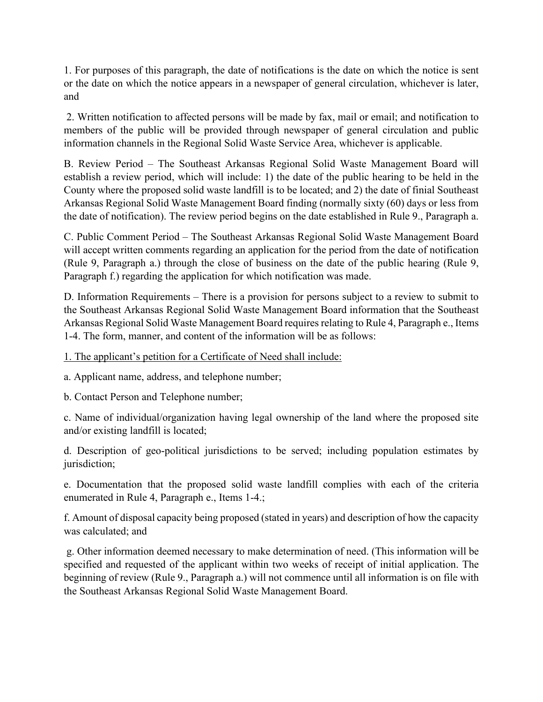1. For purposes of this paragraph, the date of notifications is the date on which the notice is sent or the date on which the notice appears in a newspaper of general circulation, whichever is later, and

2. Written notification to affected persons will be made by fax, mail or email; and notification to members of the public will be provided through newspaper of general circulation and public information channels in the Regional Solid Waste Service Area, whichever is applicable.

B. Review Period – The Southeast Arkansas Regional Solid Waste Management Board will establish a review period, which will include: 1) the date of the public hearing to be held in the County where the proposed solid waste landfill is to be located; and 2) the date of finial Southeast Arkansas Regional Solid Waste Management Board finding (normally sixty (60) days or less from the date of notification). The review period begins on the date established in Rule 9., Paragraph a.

C. Public Comment Period – The Southeast Arkansas Regional Solid Waste Management Board will accept written comments regarding an application for the period from the date of notification (Rule 9, Paragraph a.) through the close of business on the date of the public hearing (Rule 9, Paragraph f.) regarding the application for which notification was made.

D. Information Requirements – There is a provision for persons subject to a review to submit to the Southeast Arkansas Regional Solid Waste Management Board information that the Southeast Arkansas Regional Solid Waste Management Board requires relating to Rule 4, Paragraph e., Items 1-4. The form, manner, and content of the information will be as follows:

1. The applicant's petition for a Certificate of Need shall include:

a. Applicant name, address, and telephone number;

b. Contact Person and Telephone number;

c. Name of individual/organization having legal ownership of the land where the proposed site and/or existing landfill is located;

d. Description of geo-political jurisdictions to be served; including population estimates by jurisdiction;

e. Documentation that the proposed solid waste landfill complies with each of the criteria enumerated in Rule 4, Paragraph e., Items 1-4.;

f. Amount of disposal capacity being proposed (stated in years) and description of how the capacity was calculated; and

g. Other information deemed necessary to make determination of need. (This information will be specified and requested of the applicant within two weeks of receipt of initial application. The beginning of review (Rule 9., Paragraph a.) will not commence until all information is on file with the Southeast Arkansas Regional Solid Waste Management Board.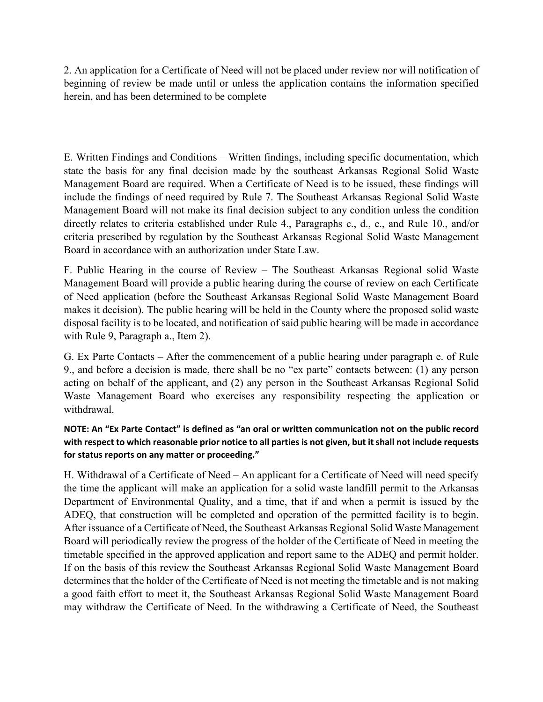2. An application for a Certificate of Need will not be placed under review nor will notification of beginning of review be made until or unless the application contains the information specified herein, and has been determined to be complete

E. Written Findings and Conditions – Written findings, including specific documentation, which state the basis for any final decision made by the southeast Arkansas Regional Solid Waste Management Board are required. When a Certificate of Need is to be issued, these findings will include the findings of need required by Rule 7. The Southeast Arkansas Regional Solid Waste Management Board will not make its final decision subject to any condition unless the condition directly relates to criteria established under Rule 4., Paragraphs c., d., e., and Rule 10., and/or criteria prescribed by regulation by the Southeast Arkansas Regional Solid Waste Management Board in accordance with an authorization under State Law.

F. Public Hearing in the course of Review – The Southeast Arkansas Regional solid Waste Management Board will provide a public hearing during the course of review on each Certificate of Need application (before the Southeast Arkansas Regional Solid Waste Management Board makes it decision). The public hearing will be held in the County where the proposed solid waste disposal facility is to be located, and notification of said public hearing will be made in accordance with Rule 9, Paragraph a., Item 2).

G. Ex Parte Contacts – After the commencement of a public hearing under paragraph e. of Rule 9., and before a decision is made, there shall be no "ex parte" contacts between: (1) any person acting on behalf of the applicant, and (2) any person in the Southeast Arkansas Regional Solid Waste Management Board who exercises any responsibility respecting the application or withdrawal.

# **NOTE: An "Ex Parte Contact" is defined as "an oral or written communication not on the public record with respect to which reasonable prior notice to all parties is not given, but it shall not include requests for status reports on any matter or proceeding."**

H. Withdrawal of a Certificate of Need – An applicant for a Certificate of Need will need specify the time the applicant will make an application for a solid waste landfill permit to the Arkansas Department of Environmental Quality, and a time, that if and when a permit is issued by the ADEQ, that construction will be completed and operation of the permitted facility is to begin. After issuance of a Certificate of Need, the Southeast Arkansas Regional Solid Waste Management Board will periodically review the progress of the holder of the Certificate of Need in meeting the timetable specified in the approved application and report same to the ADEQ and permit holder. If on the basis of this review the Southeast Arkansas Regional Solid Waste Management Board determines that the holder of the Certificate of Need is not meeting the timetable and is not making a good faith effort to meet it, the Southeast Arkansas Regional Solid Waste Management Board may withdraw the Certificate of Need. In the withdrawing a Certificate of Need, the Southeast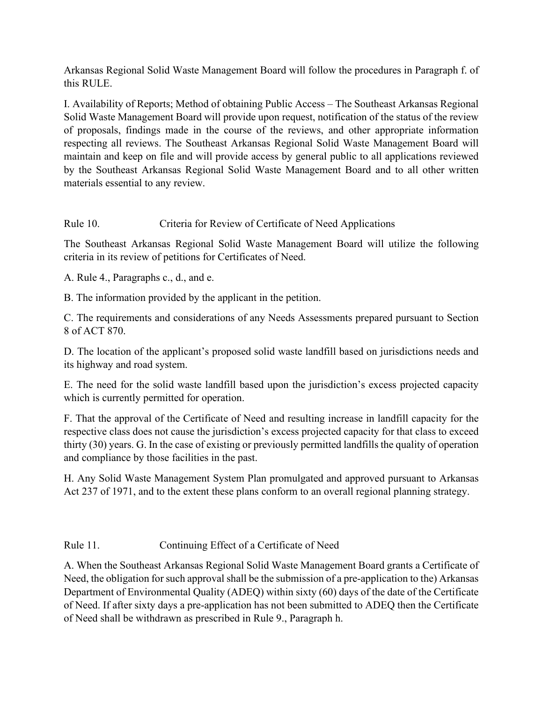Arkansas Regional Solid Waste Management Board will follow the procedures in Paragraph f. of this RULE.

I. Availability of Reports; Method of obtaining Public Access – The Southeast Arkansas Regional Solid Waste Management Board will provide upon request, notification of the status of the review of proposals, findings made in the course of the reviews, and other appropriate information respecting all reviews. The Southeast Arkansas Regional Solid Waste Management Board will maintain and keep on file and will provide access by general public to all applications reviewed by the Southeast Arkansas Regional Solid Waste Management Board and to all other written materials essential to any review.

Rule 10. Criteria for Review of Certificate of Need Applications

The Southeast Arkansas Regional Solid Waste Management Board will utilize the following criteria in its review of petitions for Certificates of Need.

A. Rule 4., Paragraphs c., d., and e.

B. The information provided by the applicant in the petition.

C. The requirements and considerations of any Needs Assessments prepared pursuant to Section 8 of ACT 870.

D. The location of the applicant's proposed solid waste landfill based on jurisdictions needs and its highway and road system.

E. The need for the solid waste landfill based upon the jurisdiction's excess projected capacity which is currently permitted for operation.

F. That the approval of the Certificate of Need and resulting increase in landfill capacity for the respective class does not cause the jurisdiction's excess projected capacity for that class to exceed thirty (30) years. G. In the case of existing or previously permitted landfills the quality of operation and compliance by those facilities in the past.

H. Any Solid Waste Management System Plan promulgated and approved pursuant to Arkansas Act 237 of 1971, and to the extent these plans conform to an overall regional planning strategy.

Rule 11. Continuing Effect of a Certificate of Need

A. When the Southeast Arkansas Regional Solid Waste Management Board grants a Certificate of Need, the obligation for such approval shall be the submission of a pre-application to the) Arkansas Department of Environmental Quality (ADEQ) within sixty (60) days of the date of the Certificate of Need. If after sixty days a pre-application has not been submitted to ADEQ then the Certificate of Need shall be withdrawn as prescribed in Rule 9., Paragraph h.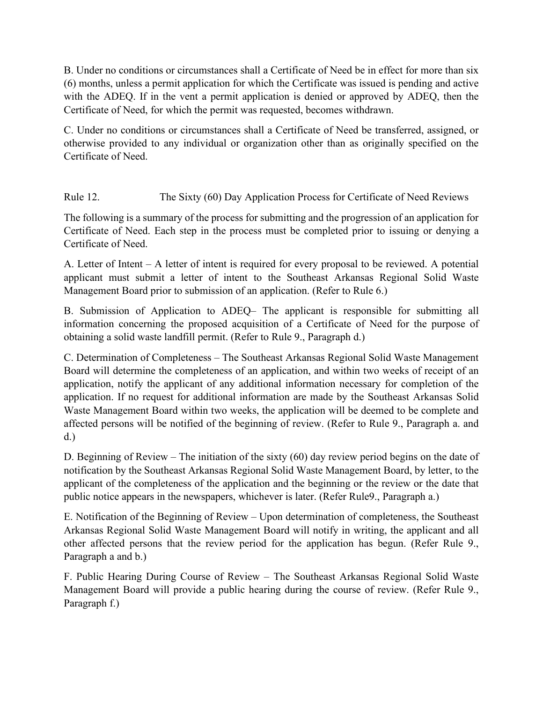B. Under no conditions or circumstances shall a Certificate of Need be in effect for more than six (6) months, unless a permit application for which the Certificate was issued is pending and active with the ADEQ. If in the vent a permit application is denied or approved by ADEQ, then the Certificate of Need, for which the permit was requested, becomes withdrawn.

C. Under no conditions or circumstances shall a Certificate of Need be transferred, assigned, or otherwise provided to any individual or organization other than as originally specified on the Certificate of Need.

Rule 12. The Sixty (60) Day Application Process for Certificate of Need Reviews

The following is a summary of the process for submitting and the progression of an application for Certificate of Need. Each step in the process must be completed prior to issuing or denying a Certificate of Need.

A. Letter of Intent – A letter of intent is required for every proposal to be reviewed. A potential applicant must submit a letter of intent to the Southeast Arkansas Regional Solid Waste Management Board prior to submission of an application. (Refer to Rule 6.)

B. Submission of Application to ADEQ– The applicant is responsible for submitting all information concerning the proposed acquisition of a Certificate of Need for the purpose of obtaining a solid waste landfill permit. (Refer to Rule 9., Paragraph d.)

C. Determination of Completeness – The Southeast Arkansas Regional Solid Waste Management Board will determine the completeness of an application, and within two weeks of receipt of an application, notify the applicant of any additional information necessary for completion of the application. If no request for additional information are made by the Southeast Arkansas Solid Waste Management Board within two weeks, the application will be deemed to be complete and affected persons will be notified of the beginning of review. (Refer to Rule 9., Paragraph a. and d.)

D. Beginning of Review – The initiation of the sixty (60) day review period begins on the date of notification by the Southeast Arkansas Regional Solid Waste Management Board, by letter, to the applicant of the completeness of the application and the beginning or the review or the date that public notice appears in the newspapers, whichever is later. (Refer Rule9., Paragraph a.)

E. Notification of the Beginning of Review – Upon determination of completeness, the Southeast Arkansas Regional Solid Waste Management Board will notify in writing, the applicant and all other affected persons that the review period for the application has begun. (Refer Rule 9., Paragraph a and b.)

F. Public Hearing During Course of Review – The Southeast Arkansas Regional Solid Waste Management Board will provide a public hearing during the course of review. (Refer Rule 9., Paragraph f.)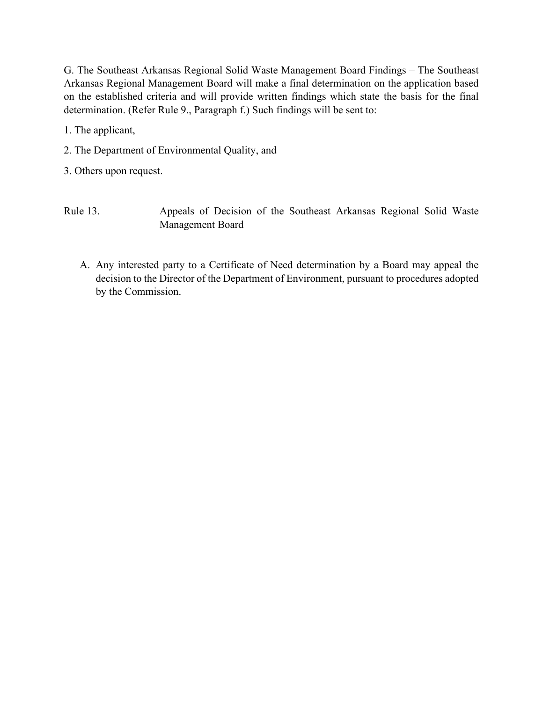G. The Southeast Arkansas Regional Solid Waste Management Board Findings – The Southeast Arkansas Regional Management Board will make a final determination on the application based on the established criteria and will provide written findings which state the basis for the final determination. (Refer Rule 9., Paragraph f.) Such findings will be sent to:

1. The applicant,

2. The Department of Environmental Quality, and

3. Others upon request.

- Rule 13. Appeals of Decision of the Southeast Arkansas Regional Solid Waste Management Board
	- A. Any interested party to a Certificate of Need determination by a Board may appeal the decision to the Director of the Department of Environment, pursuant to procedures adopted by the Commission.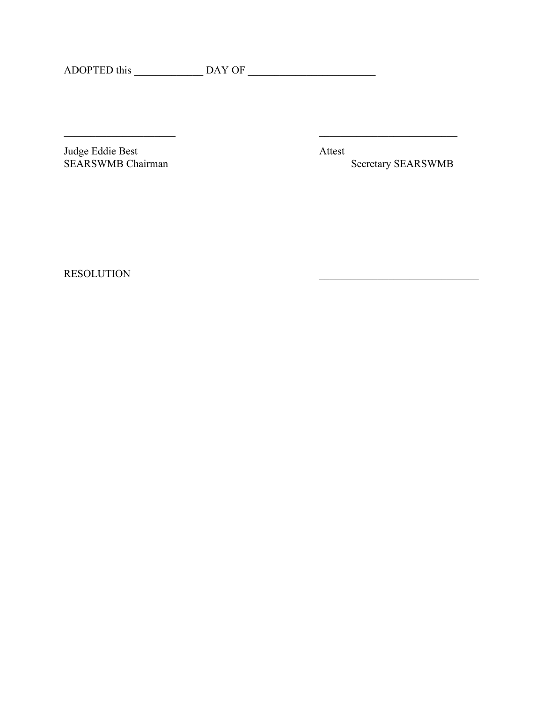$\overline{\phantom{a}}$  , and the contract of the contract of the contract of the contract of the contract of the contract of the contract of the contract of the contract of the contract of the contract of the contract of the contrac

Judge Eddie Best Attest<br>SEARSWMB Chairman

Secretary SEARSWMB

RESOLUTION  $\blacksquare$